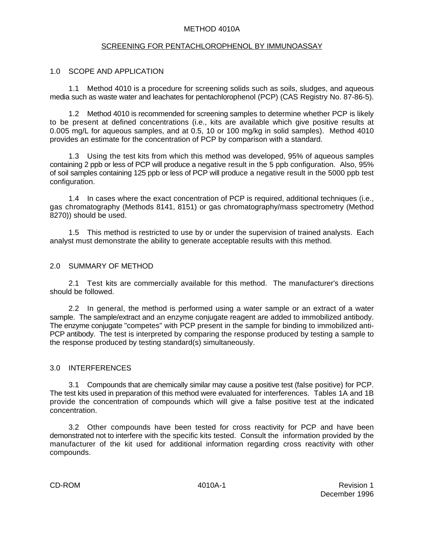#### METHOD 4010A

#### SCREENING FOR PENTACHLOROPHENOL BY IMMUNOASSAY

#### 1.0 SCOPE AND APPLICATION

1.1 Method 4010 is a procedure for screening solids such as soils, sludges, and aqueous media such as waste water and leachates for pentachlorophenol (PCP) (CAS Registry No. 87-86-5).

1.2 Method 4010 is recommended for screening samples to determine whether PCP is likely to be present at defined concentrations (i.e., kits are available which give positive results at 0.005 mg/L for aqueous samples, and at 0.5, 10 or 100 mg/kg in solid samples). Method 4010 provides an estimate for the concentration of PCP by comparison with a standard.

1.3 Using the test kits from which this method was developed, 95% of aqueous samples containing 2 ppb or less of PCP will produce a negative result in the 5 ppb configuration. Also, 95% of soil samples containing 125 ppb or less of PCP will produce a negative result in the 5000 ppb test configuration.

1.4 In cases where the exact concentration of PCP is required, additional techniques (i.e., gas chromatography (Methods 8141, 8151) or gas chromatography/mass spectrometry (Method 8270)) should be used.

1.5 This method is restricted to use by or under the supervision of trained analysts. Each analyst must demonstrate the ability to generate acceptable results with this method.

#### 2.0 SUMMARY OF METHOD

2.1 Test kits are commercially available for this method. The manufacturer's directions should be followed.

2.2 In general, the method is performed using a water sample or an extract of a water sample. The sample/extract and an enzyme conjugate reagent are added to immobilized antibody. The enzyme conjugate "competes" with PCP present in the sample for binding to immobilized anti-PCP antibody. The test is interpreted by comparing the response produced by testing a sample to the response produced by testing standard(s) simultaneously.

#### 3.0 INTERFERENCES

3.1 Compounds that are chemically similar may cause a positive test (false positive) for PCP. The test kits used in preparation of this method were evaluated for interferences. Tables 1A and 1B provide the concentration of compounds which will give a false positive test at the indicated concentration.

3.2 Other compounds have been tested for cross reactivity for PCP and have been demonstrated not to interfere with the specific kits tested. Consult the information provided by the manufacturer of the kit used for additional information regarding cross reactivity with other compounds.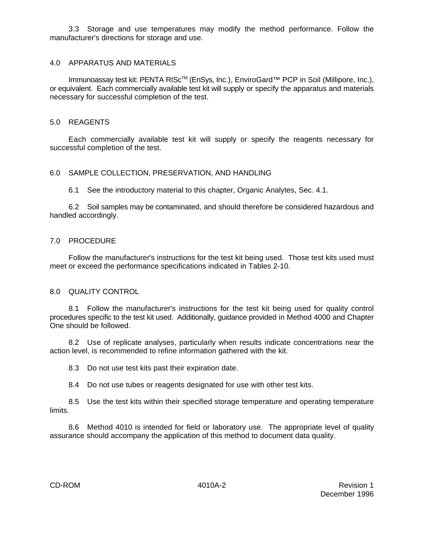3.3 Storage and use temperatures may modify the method performance. Follow the manufacturer's directions for storage and use.

#### 4.0 APPARATUS AND MATERIALS

Immunoassay test kit: PENTA RISc<sup>™</sup> (EnSys, Inc.), EnviroGard<sup>™</sup> PCP in Soil (Millipore, Inc.), or equivalent. Each commercially available test kit will supply or specify the apparatus and materials necessary for successful completion of the test.

#### 5.0 REAGENTS

Each commercially available test kit will supply or specify the reagents necessary for successful completion of the test.

#### 6.0 SAMPLE COLLECTION, PRESERVATION, AND HANDLING

6.1 See the introductory material to this chapter, Organic Analytes, Sec. 4.1.

6.2 Soil samples may be contaminated, and should therefore be considered hazardous and handled accordingly.

#### 7.0 PROCEDURE

Follow the manufacturer's instructions for the test kit being used. Those test kits used must meet or exceed the performance specifications indicated in Tables 2-10.

#### 8.0 QUALITY CONTROL

8.1 Follow the manufacturer's instructions for the test kit being used for quality control procedures specific to the test kit used. Additionally, guidance provided in Method 4000 and Chapter One should be followed.

8.2 Use of replicate analyses, particularly when results indicate concentrations near the action level, is recommended to refine information gathered with the kit.

8.3 Do not use test kits past their expiration date.

8.4 Do not use tubes or reagents designated for use with other test kits.

8.5 Use the test kits within their specified storage temperature and operating temperature limits.

8.6 Method 4010 is intended for field or laboratory use. The appropriate level of quality assurance should accompany the application of this method to document data quality.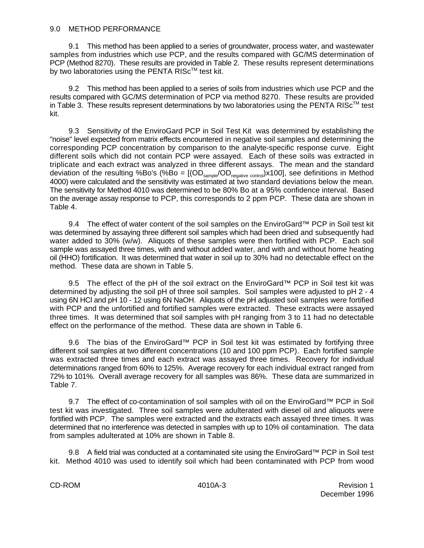#### 9.0 METHOD PERFORMANCE

9.1 This method has been applied to a series of groundwater, process water, and wastewater samples from industries which use PCP, and the results compared with GC/MS determination of PCP (Method 8270). These results are provided in Table 2. These results represent determinations by two laboratories using the PENTA RISc<sup>TM</sup> test kit.

9.2 This method has been applied to a series of soils from industries which use PCP and the results compared with GC/MS determination of PCP via method 8270. These results are provided in Table 3. These results represent determinations by two laboratories using the PENTA RISC<sup>TM</sup> test kit.

9.3 Sensitivity of the EnviroGard PCP in Soil Test Kit was determined by establishing the "noise" level expected from matrix effects encountered in negative soil samples and determining the corresponding PCP concentration by comparison to the analyte-specific response curve. Eight different soils which did not contain PCP were assayed. Each of these soils was extracted in triplicate and each extract was analyzed in three different assays. The mean and the standard deviation of the resulting %Bo's (%Bo =  $[(OD_{\text{sample}}/OD_{\text{negative control}}) \times 100]$ , see definitions in Method 4000) were calculated and the sensitivity was estimated at two standard deviations below the mean. The sensitivity for Method 4010 was determined to be 80% Bo at a 95% confidence interval. Based on the average assay response to PCP, this corresponds to 2 ppm PCP. These data are shown in Table 4.

9.4 The effect of water content of the soil samples on the EnviroGard<sup>™</sup> PCP in Soil test kit was determined by assaying three different soil samples which had been dried and subsequently had water added to 30% (w/w). Aliquots of these samples were then fortified with PCP. Each soil sample was assayed three times, with and without added water, and with and without home heating oil (HHO) fortification. It was determined that water in soil up to 30% had no detectable effect on the method. These data are shown in Table 5.

9.5 The effect of the pH of the soil extract on the EnviroGard™ PCP in Soil test kit was determined by adjusting the soil pH of three soil samples. Soil samples were adjusted to pH 2 - 4 using 6N HCl and pH 10 - 12 using 6N NaOH. Aliquots of the pH adjusted soil samples were fortified with PCP and the unfortified and fortified samples were extracted. These extracts were assayed three times. It was determined that soil samples with pH ranging from 3 to 11 had no detectable effect on the performance of the method. These data are shown in Table 6.

9.6 The bias of the EnviroGard<sup>™</sup> PCP in Soil test kit was estimated by fortifying three different soil samples at two different concentrations (10 and 100 ppm PCP). Each fortified sample was extracted three times and each extract was assayed three times. Recovery for individual determinations ranged from 60% to 125%. Average recovery for each individual extract ranged from 72% to 101%. Overall average recovery for all samples was 86%. These data are summarized in Table 7.

9.7 The effect of co-contamination of soil samples with oil on the EnviroGard™ PCP in Soil test kit was investigated. Three soil samples were adulterated with diesel oil and aliquots were fortified with PCP. The samples were extracted and the extracts each assayed three times. It was determined that no interference was detected in samples with up to 10% oil contamination. The data from samples adulterated at 10% are shown in Table 8.

9.8 A field trial was conducted at a contaminated site using the EnviroGard™ PCP in Soil test kit. Method 4010 was used to identify soil which had been contaminated with PCP from wood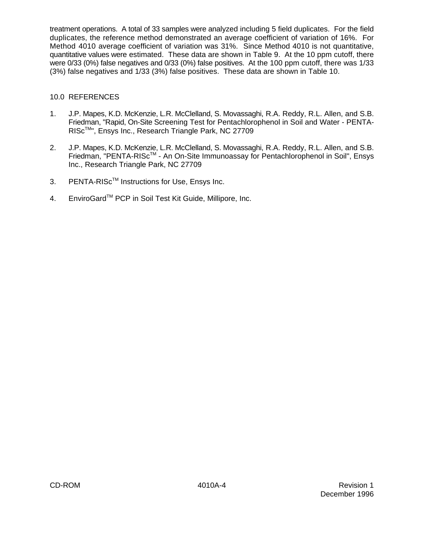treatment operations. A total of 33 samples were analyzed including 5 field duplicates. For the field duplicates, the reference method demonstrated an average coefficient of variation of 16%. For Method 4010 average coefficient of variation was 31%. Since Method 4010 is not quantitative, quantitative values were estimated. These data are shown in Table 9. At the 10 ppm cutoff, there were 0/33 (0%) false negatives and 0/33 (0%) false positives. At the 100 ppm cutoff, there was 1/33 (3%) false negatives and 1/33 (3%) false positives. These data are shown in Table 10.

#### 10.0 REFERENCES

- 1. J.P. Mapes, K.D. McKenzie, L.R. McClelland, S. Movassaghi, R.A. Reddy, R.L. Allen, and S.B. Friedman, "Rapid, On-Site Screening Test for Pentachlorophenol in Soil and Water - PENTA-RISc<sup>™</sup>", Ensys Inc., Research Triangle Park, NC 27709
- 2. J.P. Mapes, K.D. McKenzie, L.R. McClelland, S. Movassaghi, R.A. Reddy, R.L. Allen, and S.B. Friedman, "PENTA-RISc™ - An On-Site Immunoassay for Pentachlorophenol in Soil", Ensys Inc., Research Triangle Park, NC 27709
- 3. PENTA-RISc<sup>™</sup> Instructions for Use, Ensys Inc.
- 4. EnviroGard™ PCP in Soil Test Kit Guide, Millipore, Inc.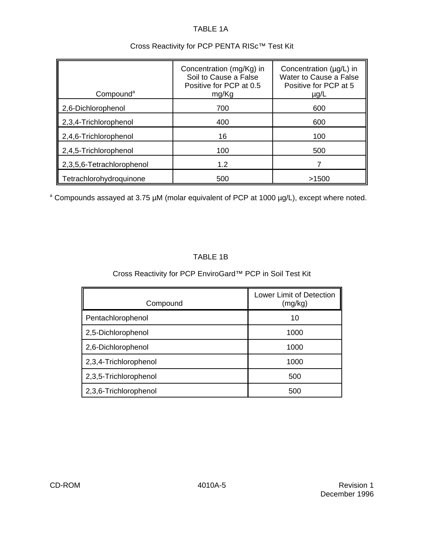## TABLE 1A

| Compound <sup>a</sup>     | Concentration (mg/Kg) in<br>Soil to Cause a False<br>Positive for PCP at 0.5<br>mg/Kg | Concentration (µg/L) in<br>Water to Cause a False<br>Positive for PCP at 5<br>$\mu$ g/L |
|---------------------------|---------------------------------------------------------------------------------------|-----------------------------------------------------------------------------------------|
| 2,6-Dichlorophenol        | 700                                                                                   | 600                                                                                     |
| 2,3,4-Trichlorophenol     | 400                                                                                   | 600                                                                                     |
| 2,4,6-Trichlorophenol     | 16                                                                                    | 100                                                                                     |
| 2,4,5-Trichlorophenol     | 100                                                                                   | 500                                                                                     |
| 2,3,5,6-Tetrachlorophenol | 1.2                                                                                   |                                                                                         |
| Tetrachlorohydroquinone   | 500                                                                                   | >1500                                                                                   |

## Cross Reactivity for PCP PENTA RISc™ Test Kit

<sup>a</sup> Compounds assayed at 3.75 µM (molar equivalent of PCP at 1000 µg/L), except where noted.

# TABLE 1B

# Cross Reactivity for PCP EnviroGard™ PCP in Soil Test Kit

| Compound              | Lower Limit of Detection<br>(mg/kg) |
|-----------------------|-------------------------------------|
| Pentachlorophenol     | 10                                  |
| 2,5-Dichlorophenol    | 1000                                |
| 2,6-Dichlorophenol    | 1000                                |
| 2,3,4-Trichlorophenol | 1000                                |
| 2,3,5-Trichlorophenol | 500                                 |
| 2,3,6-Trichlorophenol | 500                                 |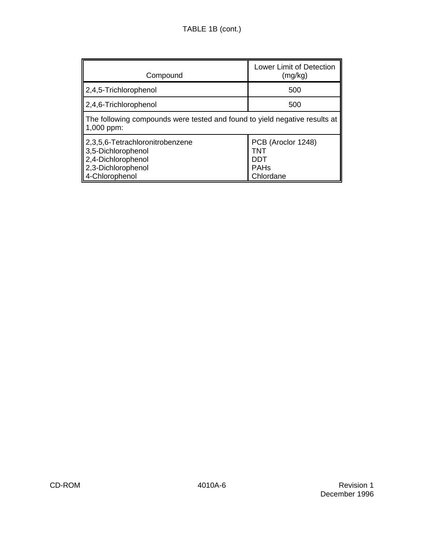| Compound                                                                                                            | Lower Limit of Detection<br>(mg/kg)                          |  |  |
|---------------------------------------------------------------------------------------------------------------------|--------------------------------------------------------------|--|--|
| 2,4,5-Trichlorophenol                                                                                               | 500                                                          |  |  |
| 2,4,6-Trichlorophenol                                                                                               | 500                                                          |  |  |
| The following compounds were tested and found to yield negative results at<br>1,000 ppm:                            |                                                              |  |  |
| 2,3,5,6-Tetrachloronitrobenzene<br>3,5-Dichlorophenol<br>2,4-Dichlorophenol<br>2,3-Dichlorophenol<br>4-Chlorophenol | PCB (Aroclor 1248)<br>TNT<br>DDT<br><b>PAHs</b><br>Chlordane |  |  |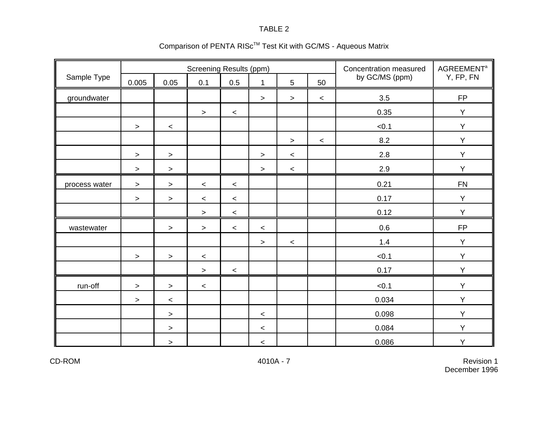|               | <b>Screening Results (ppm)</b> |         |         |       |             |                 |         | Concentration measured | <b>AGREEMENT</b> <sup>a</sup> |  |
|---------------|--------------------------------|---------|---------|-------|-------------|-----------------|---------|------------------------|-------------------------------|--|
| Sample Type   | 0.005                          | 0.05    | 0.1     | 0.5   | $\mathbf 1$ | $5\overline{)}$ | 50      | by GC/MS (ppm)         | Y, FP, FN                     |  |
| groundwater   |                                |         |         |       | $\geq$      | $\, >$          | $\prec$ | 3.5                    | <b>FP</b>                     |  |
|               |                                |         | $\, >$  | $\,<$ |             |                 |         | 0.35                   | Y                             |  |
|               | $\,>$                          | $\,<\,$ |         |       |             |                 |         | < 0.1                  | Y                             |  |
|               |                                |         |         |       |             | $\geq$          | $\,<$   | 8.2                    | Y                             |  |
|               | $\,>$                          | $\, >$  |         |       | $\geq$      | $\,<$           |         | 2.8                    | Y                             |  |
|               | $\,>$                          | $\,>$   |         |       | $\, >$      | $\,<$           |         | 2.9                    | Y                             |  |
| process water | $\,>$                          | $\,$    | $\,<$   | $\,<$ |             |                 |         | 0.21                   | ${\sf FN}$                    |  |
|               | $\, >$                         | $\,>$   | $\prec$ | $\,<$ |             |                 |         | 0.17                   | Y                             |  |
|               |                                |         | $\,>$   | $\,<$ |             |                 |         | 0.12                   | Y                             |  |
| wastewater    |                                | $\, >$  | $\, >$  | $\,<$ | $\,<$       |                 |         | 0.6                    | ${\sf FP}$                    |  |
|               |                                |         |         |       | $\geq$      | $\,<$           |         | 1.4                    | Y                             |  |
|               | $\,>$                          | $\, >$  | $\prec$ |       |             |                 |         | < 0.1                  | Y                             |  |
|               |                                |         | $\geq$  | $\,<$ |             |                 |         | 0.17                   | Y                             |  |
| run-off       | $\geq$                         | $\, >$  | $\prec$ |       |             |                 |         | < 0.1                  | Y                             |  |
|               | $\,>$                          | $\prec$ |         |       |             |                 |         | 0.034                  | Y                             |  |
|               |                                | $\, >$  |         |       | $\prec$     |                 |         | 0.098                  | Y                             |  |
|               |                                | $\geq$  |         |       | $\prec$     |                 |         | 0.084                  | Y                             |  |
|               |                                | $\,$    |         |       | $\,<\,$     |                 |         | 0.086                  | Y                             |  |

# Comparison of PENTA RIS $c^{TM}$  Test Kit with GC/MS - Aqueous Matrix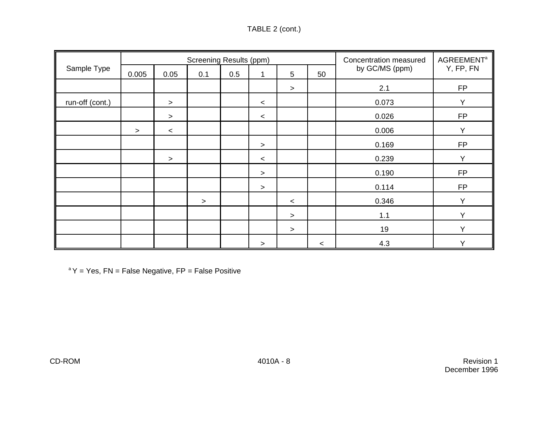| TABLE 2 (cont.) |  |
|-----------------|--|
|-----------------|--|

|                 |        |         | <b>Screening Results (ppm)</b> |     | Concentration measured | <b>AGREEMENT<sup>a</sup></b> |         |                |              |  |
|-----------------|--------|---------|--------------------------------|-----|------------------------|------------------------------|---------|----------------|--------------|--|
| Sample Type     | 0.005  | 0.05    | 0.1                            | 0.5 |                        | 5                            | 50      | by GC/MS (ppm) | Y, FP, FN    |  |
|                 |        |         |                                |     |                        | $\, > \,$                    |         | 2.1            | <b>FP</b>    |  |
| run-off (cont.) |        | $\geq$  |                                |     | $\prec$                |                              |         | 0.073          | Y            |  |
|                 |        | $\geq$  |                                |     | $\,<\,$                |                              |         | 0.026          | <b>FP</b>    |  |
|                 | $\geq$ | $\prec$ |                                |     |                        |                              |         | 0.006          | Y            |  |
|                 |        |         |                                |     | $\,>$                  |                              |         | 0.169          | <b>FP</b>    |  |
|                 |        | $\geq$  |                                |     | $\prec$                |                              |         | 0.239          | $\checkmark$ |  |
|                 |        |         |                                |     | >                      |                              |         | 0.190          | <b>FP</b>    |  |
|                 |        |         |                                |     | $\geq$                 |                              |         | 0.114          | <b>FP</b>    |  |
|                 |        |         | $\geq$                         |     |                        | $\prec$                      |         | 0.346          | $\checkmark$ |  |
|                 |        |         |                                |     |                        | $\geq$                       |         | 1.1            | Y            |  |
|                 |        |         |                                |     |                        | $\geq$                       |         | 19             | $\checkmark$ |  |
|                 |        |         |                                |     | >                      |                              | $\,<\,$ | 4.3            | v            |  |

 $A^aY = Yes$ , FN = False Negative, FP = False Positive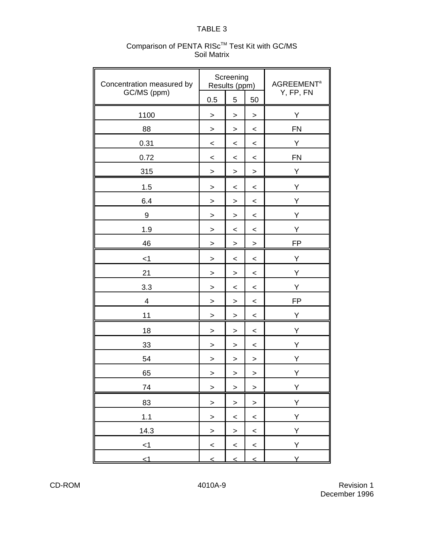| Concentration measured by |                          | Screening<br>Results (ppm) |              | <b>AGREEMENT<sup>a</sup></b> |
|---------------------------|--------------------------|----------------------------|--------------|------------------------------|
| GC/MS (ppm)               | 0.5                      | 5                          | 50           | Y, FP, FN                    |
| 1100                      | $\,>$                    | $\,>$                      | >            | Υ                            |
| 88                        | $\, >$                   | $\, >$                     | $\,<$        | <b>FN</b>                    |
| 0.31                      | $\,<\,$                  | $\,<$                      | $\,<\,$      | Υ                            |
| 0.72                      | $\,<$                    | $\,<\,$                    | $\,<\,$      | <b>FN</b>                    |
| 315                       | $\,$                     | $\,$                       | >            | Υ                            |
| 1.5                       | $\geq$                   | $\,<$                      | $\,<$        | Υ                            |
| 6.4                       | >                        | >                          | $\,<\,$      | Y                            |
| $\boldsymbol{9}$          | >                        | >                          | $\,<\,$      | Υ                            |
| 1.9                       | $\,$                     | $\,<$                      | $\,<$        | Υ                            |
| 46                        | $\,>$                    | $\,$                       | $\,>$        | FP                           |
| $<$ 1                     | $\,>$                    | $\,<$                      | $\,<$        | Υ                            |
| 21                        | $\,>$                    | $\,$                       | $\,<$        | Υ                            |
| 3.3                       | $\,>$                    | $\,<$                      | $\,<\,$      | Υ                            |
| $\overline{\mathcal{A}}$  | >                        | $\,>$                      | $\,<$        | <b>FP</b>                    |
| 11                        | $\,>$                    | $\,>$                      | $\,<$        | Υ                            |
| 18                        | >                        | $\,$                       | $\,<\,$      | Υ                            |
| 33                        | $\, > \,$                | >                          | $\,<\,$      | Υ                            |
| 54                        | >                        | $\,>$                      | $\,>$        | Υ                            |
| 65                        | >                        | $\,>$                      | >            | Υ                            |
| 74                        | $\,$                     | $\mathbf{L}$               | $\mathbf{L}$ | Υ                            |
| 83                        | $\geq$                   | $\geq$                     | $\geq$       | Y                            |
| 1.1                       | $\,$                     | $\,<$                      | $\,<$        | Υ                            |
| 14.3                      | $\,$                     | $\mathbf{I}$               | $\,<$        | Υ                            |
| < 1                       | $\overline{\phantom{0}}$ | $\prec$                    | $\prec$      | Υ                            |
| $\leq$ 1                  | $\leq$                   | $\leq$                     | $\leq$       | Y.                           |

#### Comparison of PENTA RISc<sup>™</sup> Test Kit with GC/MS Soil Matrix

CD-ROM 4010A-9 Revision 1 December 1996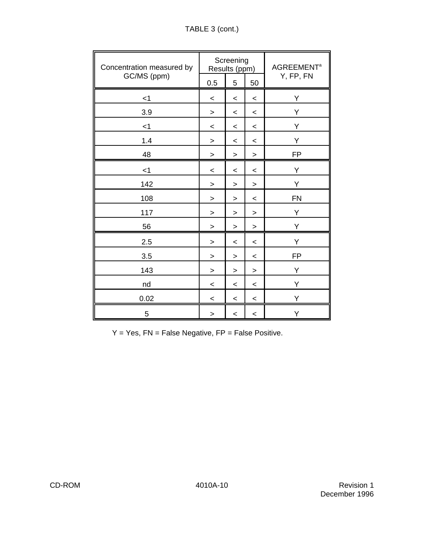| Concentration measured by |           | Screening<br>Results (ppm) |           | <b>AGREEMENT<sup>a</sup></b> |  |
|---------------------------|-----------|----------------------------|-----------|------------------------------|--|
| GC/MS (ppm)               | 0.5       | 5                          | 50        | Y, FP, FN                    |  |
| $<$ 1                     | $\,<\,$   | $\,<\,$                    | $\,<\,$   | Υ                            |  |
| 3.9                       | $\geq$    | $\,<\,$                    | $\,<\,$   | Υ                            |  |
| $<$ 1                     | $\,<\,$   | $\,<\,$                    | $\,<$     | Υ                            |  |
| 1.4                       | $\,>$     | $\,<\,$                    | $\,<$     | Υ                            |  |
| 48                        | $\geq$    | >                          | $\, > \,$ | <b>FP</b>                    |  |
| $<$ 1                     | $\,<\,$   | $\,<$                      | $\,<\,$   | Υ                            |  |
| 142                       | $\geq$    | $\geq$                     | $\, > \,$ | Y                            |  |
| 108                       | $\,>$     | >                          | $\,<$     | <b>FN</b>                    |  |
| 117                       | $\,$      | >                          | >         | Y                            |  |
| 56                        | $\,>$     | $\geq$                     | $\,$      | Υ                            |  |
| 2.5                       | $\,>$     | $\,<\,$                    | $\,<$     | Υ                            |  |
| 3.5                       | $\,>$     | $\geq$                     | $\,<$     | <b>FP</b>                    |  |
| 143                       | $\,$      | $\,$                       | $\,$      | Υ                            |  |
| nd                        | $\,<\,$   | $\,<\,$                    | $\,<\,$   | Υ                            |  |
| 0.02                      | $\prec$   | $\,<\,$                    | $\,<\,$   | Υ                            |  |
| 5                         | $\, > \,$ | $\,<\,$                    | $\,<\,$   | Υ                            |  |

 $Y = Yes$ ,  $FN = False Negative$ ,  $FP = False Positive$ .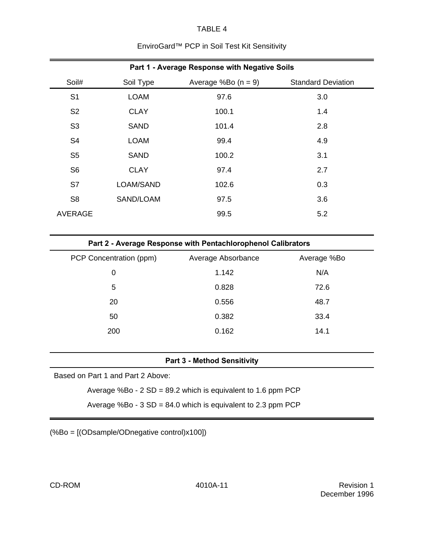## EnviroGard™ PCP in Soil Test Kit Sensitivity

| Part 1 - Average Response with Negative Soils |             |                       |                           |  |  |  |  |  |
|-----------------------------------------------|-------------|-----------------------|---------------------------|--|--|--|--|--|
| Soil#                                         | Soil Type   | Average %Bo $(n = 9)$ | <b>Standard Deviation</b> |  |  |  |  |  |
| S <sub>1</sub>                                | <b>LOAM</b> | 97.6                  | 3.0                       |  |  |  |  |  |
| S <sub>2</sub>                                | <b>CLAY</b> | 100.1                 | 1.4                       |  |  |  |  |  |
| S <sub>3</sub>                                | <b>SAND</b> | 101.4                 | 2.8                       |  |  |  |  |  |
| S <sub>4</sub>                                | <b>LOAM</b> | 99.4                  | 4.9                       |  |  |  |  |  |
| S <sub>5</sub>                                | <b>SAND</b> | 100.2                 | 3.1                       |  |  |  |  |  |
| S <sub>6</sub>                                | <b>CLAY</b> | 97.4                  | 2.7                       |  |  |  |  |  |
| S7                                            | LOAM/SAND   | 102.6                 | 0.3                       |  |  |  |  |  |
| S <sub>8</sub>                                | SAND/LOAM   | 97.5                  | 3.6                       |  |  |  |  |  |
| <b>AVERAGE</b>                                |             | 99.5                  | 5.2                       |  |  |  |  |  |

| PCP Concentration (ppm) | Average Absorbance | Average %Bo |
|-------------------------|--------------------|-------------|
| 0                       | 1.142              | N/A         |
| 5                       | 0.828              | 72.6        |
| 20                      | 0.556              | 48.7        |
| 50                      | 0.382              | 33.4        |
| 200                     | 0.162              | 14.1        |
|                         |                    |             |

#### **Part 3 - Method Sensitivity**

Based on Part 1 and Part 2 Above:

Average %Bo - 2 SD = 89.2 which is equivalent to 1.6 ppm PCP

Average %Bo - 3 SD = 84.0 which is equivalent to 2.3 ppm PCP

(%Bo = [(ODsample/ODnegative control)x100])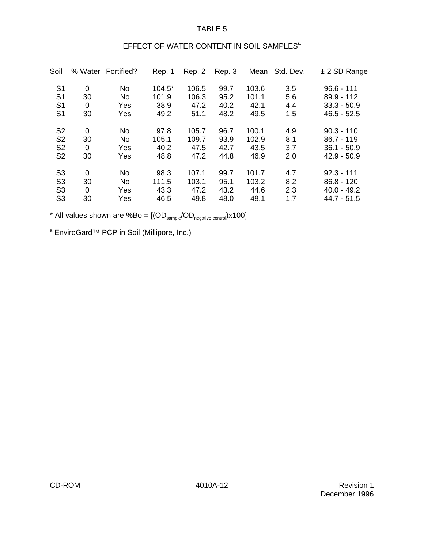# EFFECT OF WATER CONTENT IN SOIL SAMPLES<sup>a</sup>

| <u>Soil</u>    | % Water     | Fortified?     | <u>Rep. 1</u> | Rep. 2 | Rep. 3 | Mean  | Std. Dev. | $± 2$ SD Range |
|----------------|-------------|----------------|---------------|--------|--------|-------|-----------|----------------|
| S <sub>1</sub> | $\mathbf 0$ | <b>No</b>      | $104.5*$      | 106.5  | 99.7   | 103.6 | 3.5       | $96.6 - 111$   |
| S <sub>1</sub> | 30          | No.            | 101.9         | 106.3  | 95.2   | 101.1 | 5.6       | $89.9 - 112$   |
| S <sub>1</sub> | 0           | Yes            | 38.9          | 47.2   | 40.2   | 42.1  | 4.4       | $33.3 - 50.9$  |
| S <sub>1</sub> | 30          | Yes            | 49.2          | 51.1   | 48.2   | 49.5  | 1.5       | $46.5 - 52.5$  |
| S <sub>2</sub> | $\mathbf 0$ | <b>No</b>      | 97.8          | 105.7  | 96.7   | 100.1 | 4.9       | $90.3 - 110$   |
| S <sub>2</sub> | 30          | N <sub>o</sub> | 105.1         | 109.7  | 93.9   | 102.9 | 8.1       | $86.7 - 119$   |
| S <sub>2</sub> | $\mathbf 0$ | Yes            | 40.2          | 47.5   | 42.7   | 43.5  | 3.7       | $36.1 - 50.9$  |
| S <sub>2</sub> | 30          | Yes            | 48.8          | 47.2   | 44.8   | 46.9  | 2.0       | $42.9 - 50.9$  |
| S <sub>3</sub> | $\mathbf 0$ | <b>No</b>      | 98.3          | 107.1  | 99.7   | 101.7 | 4.7       | $92.3 - 111$   |
| S <sub>3</sub> | 30          | No.            | 111.5         | 103.1  | 95.1   | 103.2 | 8.2       | $86.8 - 120$   |
| S <sub>3</sub> | 0           | Yes            | 43.3          | 47.2   | 43.2   | 44.6  | 2.3       | $40.0 - 49.2$  |
| S <sub>3</sub> | 30          | Yes            | 46.5          | 49.8   | 48.0   | 48.1  | 1.7       | 44.7 - 51.5    |

\* All values shown are %Bo =  $[(OD_{\text{sample}}/OD_{\text{negative control}}) \times 100]$ 

<sup>a</sup> EnviroGard™ PCP in Soil (Millipore, Inc.)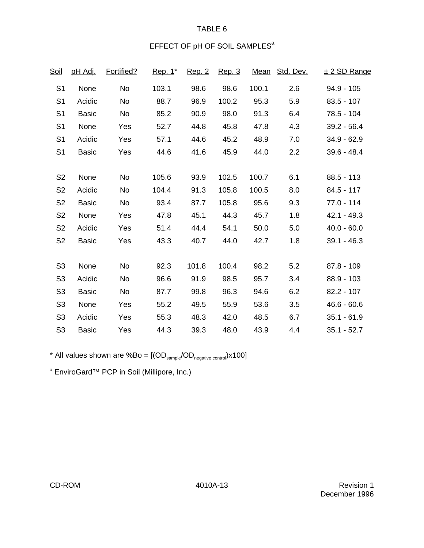# EFFECT OF pH OF SOIL SAMPLES<sup>a</sup>

| <u>Soil</u>    | <u>pH Adj.</u> | Fortified? | Rep. 1* | <u>Rep. 2</u> | Rep. 3 | <u>Mean</u> | Std. Dev. | ± 2 SD Range  |
|----------------|----------------|------------|---------|---------------|--------|-------------|-----------|---------------|
| S <sub>1</sub> | None           | No         | 103.1   | 98.6          | 98.6   | 100.1       | 2.6       | $94.9 - 105$  |
| S <sub>1</sub> | Acidic         | No         | 88.7    | 96.9          | 100.2  | 95.3        | 5.9       | $83.5 - 107$  |
| S <sub>1</sub> | <b>Basic</b>   | No         | 85.2    | 90.9          | 98.0   | 91.3        | 6.4       | 78.5 - 104    |
| S <sub>1</sub> | None           | Yes        | 52.7    | 44.8          | 45.8   | 47.8        | 4.3       | $39.2 - 56.4$ |
| S <sub>1</sub> | Acidic         | Yes        | 57.1    | 44.6          | 45.2   | 48.9        | 7.0       | $34.9 - 62.9$ |
| S <sub>1</sub> | <b>Basic</b>   | Yes        | 44.6    | 41.6          | 45.9   | 44.0        | 2.2       | $39.6 - 48.4$ |
|                |                |            |         |               |        |             |           |               |
| S <sub>2</sub> | None           | No         | 105.6   | 93.9          | 102.5  | 100.7       | 6.1       | $88.5 - 113$  |
| S <sub>2</sub> | Acidic         | No         | 104.4   | 91.3          | 105.8  | 100.5       | 8.0       | $84.5 - 117$  |
| S <sub>2</sub> | <b>Basic</b>   | No         | 93.4    | 87.7          | 105.8  | 95.6        | 9.3       | $77.0 - 114$  |
| S <sub>2</sub> | None           | Yes        | 47.8    | 45.1          | 44.3   | 45.7        | 1.8       | $42.1 - 49.3$ |
| S <sub>2</sub> | Acidic         | Yes        | 51.4    | 44.4          | 54.1   | 50.0        | 5.0       | $40.0 - 60.0$ |
| S <sub>2</sub> | <b>Basic</b>   | Yes        | 43.3    | 40.7          | 44.0   | 42.7        | 1.8       | $39.1 - 46.3$ |
|                |                |            |         |               |        |             |           |               |
| S <sub>3</sub> | None           | No         | 92.3    | 101.8         | 100.4  | 98.2        | 5.2       | $87.8 - 109$  |
| S <sub>3</sub> | Acidic         | No         | 96.6    | 91.9          | 98.5   | 95.7        | 3.4       | $88.9 - 103$  |
| S <sub>3</sub> | <b>Basic</b>   | No         | 87.7    | 99.8          | 96.3   | 94.6        | 6.2       | $82.2 - 107$  |
| S <sub>3</sub> | None           | Yes        | 55.2    | 49.5          | 55.9   | 53.6        | 3.5       | $46.6 - 60.6$ |
| S <sub>3</sub> | Acidic         | Yes        | 55.3    | 48.3          | 42.0   | 48.5        | 6.7       | $35.1 - 61.9$ |
| S <sub>3</sub> | <b>Basic</b>   | Yes        | 44.3    | 39.3          | 48.0   | 43.9        | 4.4       | $35.1 - 52.7$ |

\* All values shown are  $%Bo = [(OD_{\text{sample}}/OD_{\text{negative control}}) \times 100]$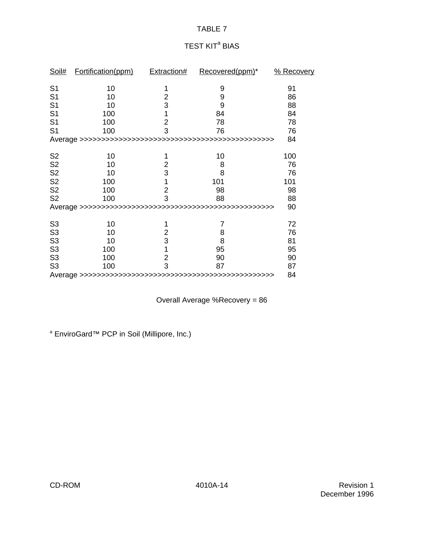# TEST KIT<sup>a</sup> BIAS

| Soil#          | Fortification(ppm) | <b>Extraction#</b> | Recovered(ppm)* | % Recovery |  |
|----------------|--------------------|--------------------|-----------------|------------|--|
| S <sub>1</sub> | 10                 | 1                  | 9               | 91         |  |
| S <sub>1</sub> | 10                 | $\overline{2}$     | 9               | 86         |  |
| S <sub>1</sub> | 10                 | 3                  | 9               | 88         |  |
| S <sub>1</sub> | 100                | 1                  | 84              | 84         |  |
| S <sub>1</sub> | 100                | $\overline{2}$     | 78              | 78         |  |
| S <sub>1</sub> | 100                | 3                  | 76              | 76         |  |
|                |                    |                    |                 | 84         |  |
| S <sub>2</sub> | 10                 | 1                  | 10              | 100        |  |
| S <sub>2</sub> | 10                 | 2                  | 8               | 76         |  |
| S <sub>2</sub> | 10                 | 3                  | 8               | 76         |  |
| S <sub>2</sub> | 100                | 1                  | 101             | 101        |  |
| S <sub>2</sub> | 100                | $\overline{2}$     | 98              | 98         |  |
| S <sub>2</sub> | 100                | 3                  | 88              | 88         |  |
|                |                    |                    |                 |            |  |
| S <sub>3</sub> | 10                 | 1                  | 7               | 72         |  |
| S <sub>3</sub> | 10                 | 2                  | 8               | 76         |  |
| S <sub>3</sub> | 10                 | 3                  | 8               | 81         |  |
| S <sub>3</sub> | 100                | 1                  | 95              | 95         |  |
| S <sub>3</sub> | 100                | $\overline{2}$     | 90              | 90         |  |
| S <sub>3</sub> | 100                | 3                  | 87              | 87         |  |
|                |                    |                    |                 |            |  |

Overall Average %Recovery = 86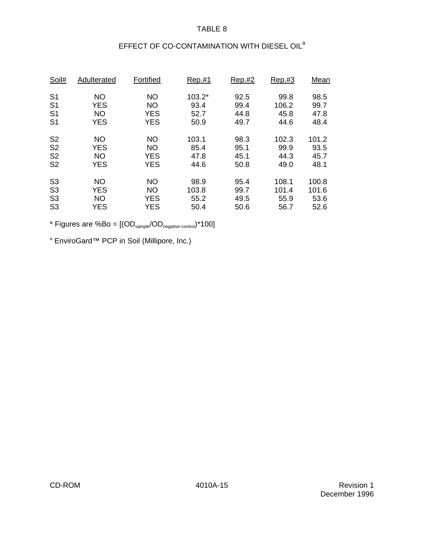# EFFECT OF CO-CONTAMINATION WITH DIESEL OIL<sup>a</sup>

| Soil#          | Adulterated | Fortified  | Rep.#1 | Rep.#2 | Rep.H3 | Mean  |
|----------------|-------------|------------|--------|--------|--------|-------|
| S <sub>1</sub> | NO          | NO         | 103.2* | 92.5   | 99.8   | 98.5  |
| S <sub>1</sub> | <b>YES</b>  | NO         | 93.4   | 99.4   | 106.2  | 99.7  |
| S <sub>1</sub> | <b>NO</b>   | <b>YES</b> | 52.7   | 44.8   | 45.8   | 47.8  |
| S <sub>1</sub> | <b>YES</b>  | <b>YES</b> | 50.9   | 49.7   | 44.6   | 48.4  |
| S <sub>2</sub> | NO          | NO         | 103.1  | 98.3   | 102.3  | 101.2 |
| S <sub>2</sub> | <b>YES</b>  | <b>NO</b>  | 85.4   | 95.1   | 99.9   | 93.5  |
| S <sub>2</sub> | <b>NO</b>   | <b>YES</b> | 47.8   | 45.1   | 44.3   | 45.7  |
| S <sub>2</sub> | <b>YES</b>  | <b>YES</b> | 44.6   | 50.8   | 49.0   | 48.1  |
| S <sub>3</sub> | <b>NO</b>   | <b>NO</b>  | 98.9   | 95.4   | 108.1  | 100.8 |
| S <sub>3</sub> | <b>YES</b>  | NO         | 103.8  | 99.7   | 101.4  | 101.6 |
| S <sub>3</sub> | <b>NO</b>   | <b>YES</b> | 55.2   | 49.5   | 55.9   | 53.6  |
| S <sub>3</sub> | <b>YES</b>  | <b>YES</b> | 50.4   | 50.6   | 56.7   | 52.6  |

\* Figures are  $%Bo = [(OD_{sample}/OD_{negative\ control})*100]$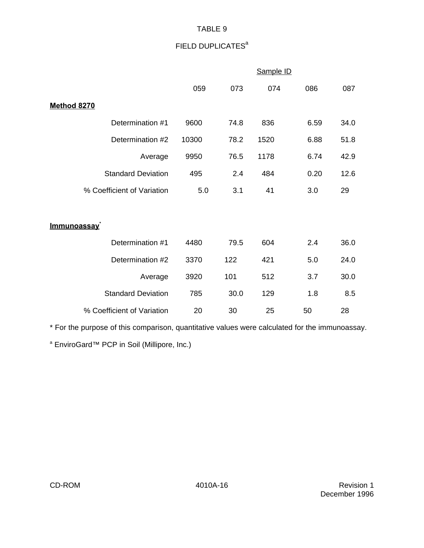# FIELD DUPLICATES<sup>a</sup>

|                            |       |      | Sample ID |      |      |
|----------------------------|-------|------|-----------|------|------|
|                            | 059   | 073  | 074       | 086  | 087  |
| <b>Method 8270</b>         |       |      |           |      |      |
| Determination #1           | 9600  | 74.8 | 836       | 6.59 | 34.0 |
| Determination #2           | 10300 | 78.2 | 1520      | 6.88 | 51.8 |
| Average                    | 9950  | 76.5 | 1178      | 6.74 | 42.9 |
| <b>Standard Deviation</b>  | 495   | 2.4  | 484       | 0.20 | 12.6 |
| % Coefficient of Variation | 5.0   | 3.1  | 41        | 3.0  | 29   |
|                            |       |      |           |      |      |
| <u>Immunoassay</u>         |       |      |           |      |      |
| Determination #1           | 4480  | 79.5 | 604       | 2.4  | 36.0 |
| Determination #2           | 3370  | 122  | 421       | 5.0  | 24.0 |
| Average                    | 3920  | 101  | 512       | 3.7  | 30.0 |
| <b>Standard Deviation</b>  | 785   | 30.0 | 129       | 1.8  | 8.5  |
| % Coefficient of Variation | 20    | 30   | 25        | 50   | 28   |

\* For the purpose of this comparison, quantitative values were calculated for the immunoassay.

<sup>a</sup> EnviroGard™ PCP in Soil (Millipore, Inc.)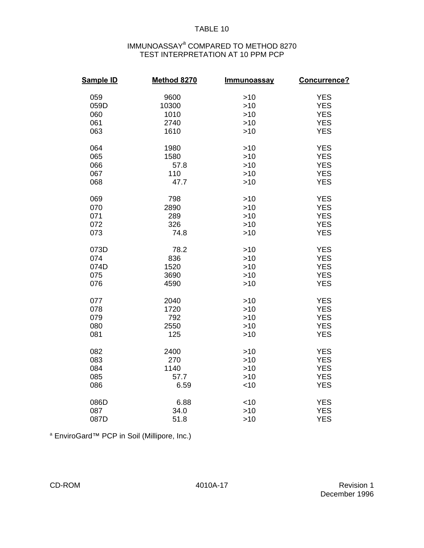#### IMMUNOASSAY<sup>a</sup> COMPARED TO METHOD 8270 TEST INTERPRETATION AT 10 PPM PCP

| <b>Sample ID</b> | Method 8270 | <b>Immunoassay</b> | Concurrence? |
|------------------|-------------|--------------------|--------------|
| 059              | 9600        | >10                | <b>YES</b>   |
| 059D             | 10300       | >10                | <b>YES</b>   |
| 060              | 1010        | >10                | <b>YES</b>   |
| 061              | 2740        | $>10$              | <b>YES</b>   |
| 063              | 1610        | >10                | <b>YES</b>   |
| 064              | 1980        | >10                | <b>YES</b>   |
| 065              | 1580        | >10                | <b>YES</b>   |
| 066              | 57.8        | >10                | <b>YES</b>   |
| 067              | 110         | $>10$              | <b>YES</b>   |
| 068              | 47.7        | >10                | <b>YES</b>   |
| 069              | 798         | >10                | <b>YES</b>   |
| 070              | 2890        | >10                | <b>YES</b>   |
| 071              | 289         | >10                | <b>YES</b>   |
| 072              | 326         | $>10$              | <b>YES</b>   |
| 073              | 74.8        | >10                | <b>YES</b>   |
| 073D             | 78.2        | >10                | <b>YES</b>   |
| 074              | 836         | >10                | <b>YES</b>   |
| 074D             | 1520        | >10                | <b>YES</b>   |
| 075              | 3690        | $>10$              | <b>YES</b>   |
| 076              | 4590        | >10                | <b>YES</b>   |
| 077              | 2040        | >10                | <b>YES</b>   |
| 078              | 1720        | >10                | <b>YES</b>   |
| 079              | 792         | $>10$              | <b>YES</b>   |
| 080              | 2550        | >10                | <b>YES</b>   |
| 081              | 125         | >10                | <b>YES</b>   |
| 082              | 2400        | >10                | <b>YES</b>   |
| 083              | 270         | >10                | <b>YES</b>   |
| 084              | 1140        | >10                | <b>YES</b>   |
| 085              | 57.7        | >10                | <b>YES</b>   |
| 086              | 6.59        | < 10               | <b>YES</b>   |
| 086D             | 6.88        | < 10               | <b>YES</b>   |
| 087              | 34.0        | >10                | <b>YES</b>   |
| 087D             | 51.8        | $>10$              | <b>YES</b>   |